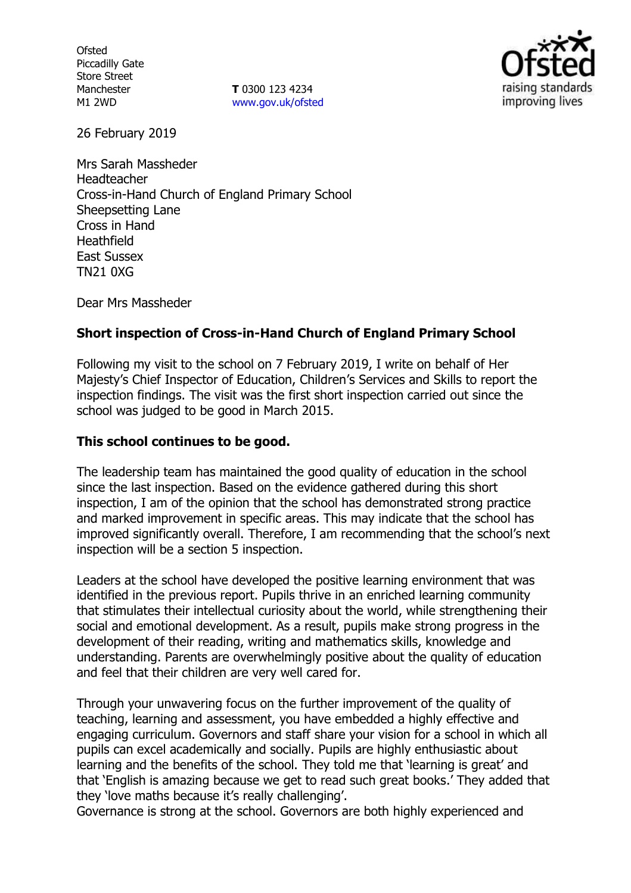**Ofsted** Piccadilly Gate Store Street Manchester M1 2WD

**T** 0300 123 4234 www.gov.uk/ofsted



26 February 2019

Mrs Sarah Massheder Headteacher Cross-in-Hand Church of England Primary School Sheepsetting Lane Cross in Hand Heathfield East Sussex TN21 0XG

Dear Mrs Massheder

## **Short inspection of Cross-in-Hand Church of England Primary School**

Following my visit to the school on 7 February 2019, I write on behalf of Her Majesty's Chief Inspector of Education, Children's Services and Skills to report the inspection findings. The visit was the first short inspection carried out since the school was judged to be good in March 2015.

### **This school continues to be good.**

The leadership team has maintained the good quality of education in the school since the last inspection. Based on the evidence gathered during this short inspection, I am of the opinion that the school has demonstrated strong practice and marked improvement in specific areas. This may indicate that the school has improved significantly overall. Therefore, I am recommending that the school's next inspection will be a section 5 inspection.

Leaders at the school have developed the positive learning environment that was identified in the previous report. Pupils thrive in an enriched learning community that stimulates their intellectual curiosity about the world, while strengthening their social and emotional development. As a result, pupils make strong progress in the development of their reading, writing and mathematics skills, knowledge and understanding. Parents are overwhelmingly positive about the quality of education and feel that their children are very well cared for.

Through your unwavering focus on the further improvement of the quality of teaching, learning and assessment, you have embedded a highly effective and engaging curriculum. Governors and staff share your vision for a school in which all pupils can excel academically and socially. Pupils are highly enthusiastic about learning and the benefits of the school. They told me that 'learning is great' and that 'English is amazing because we get to read such great books.' They added that they 'love maths because it's really challenging'.

Governance is strong at the school. Governors are both highly experienced and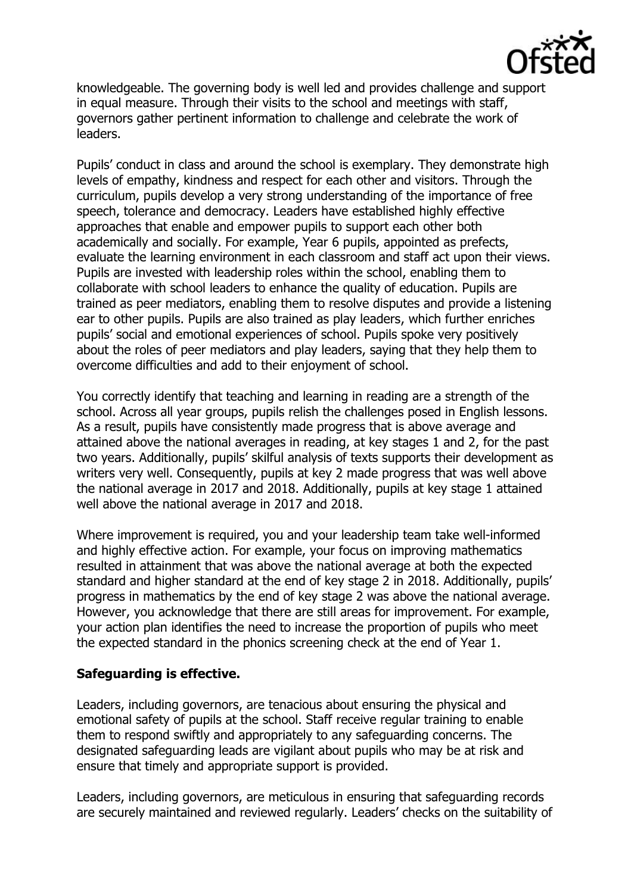

knowledgeable. The governing body is well led and provides challenge and support in equal measure. Through their visits to the school and meetings with staff, governors gather pertinent information to challenge and celebrate the work of leaders.

Pupils' conduct in class and around the school is exemplary. They demonstrate high levels of empathy, kindness and respect for each other and visitors. Through the curriculum, pupils develop a very strong understanding of the importance of free speech, tolerance and democracy. Leaders have established highly effective approaches that enable and empower pupils to support each other both academically and socially. For example, Year 6 pupils, appointed as prefects, evaluate the learning environment in each classroom and staff act upon their views. Pupils are invested with leadership roles within the school, enabling them to collaborate with school leaders to enhance the quality of education. Pupils are trained as peer mediators, enabling them to resolve disputes and provide a listening ear to other pupils. Pupils are also trained as play leaders, which further enriches pupils' social and emotional experiences of school. Pupils spoke very positively about the roles of peer mediators and play leaders, saying that they help them to overcome difficulties and add to their enjoyment of school.

You correctly identify that teaching and learning in reading are a strength of the school. Across all year groups, pupils relish the challenges posed in English lessons. As a result, pupils have consistently made progress that is above average and attained above the national averages in reading, at key stages 1 and 2, for the past two years. Additionally, pupils' skilful analysis of texts supports their development as writers very well. Consequently, pupils at key 2 made progress that was well above the national average in 2017 and 2018. Additionally, pupils at key stage 1 attained well above the national average in 2017 and 2018.

Where improvement is required, you and your leadership team take well-informed and highly effective action. For example, your focus on improving mathematics resulted in attainment that was above the national average at both the expected standard and higher standard at the end of key stage 2 in 2018. Additionally, pupils' progress in mathematics by the end of key stage 2 was above the national average. However, you acknowledge that there are still areas for improvement. For example, your action plan identifies the need to increase the proportion of pupils who meet the expected standard in the phonics screening check at the end of Year 1.

#### **Safeguarding is effective.**

Leaders, including governors, are tenacious about ensuring the physical and emotional safety of pupils at the school. Staff receive regular training to enable them to respond swiftly and appropriately to any safeguarding concerns. The designated safeguarding leads are vigilant about pupils who may be at risk and ensure that timely and appropriate support is provided.

Leaders, including governors, are meticulous in ensuring that safeguarding records are securely maintained and reviewed regularly. Leaders' checks on the suitability of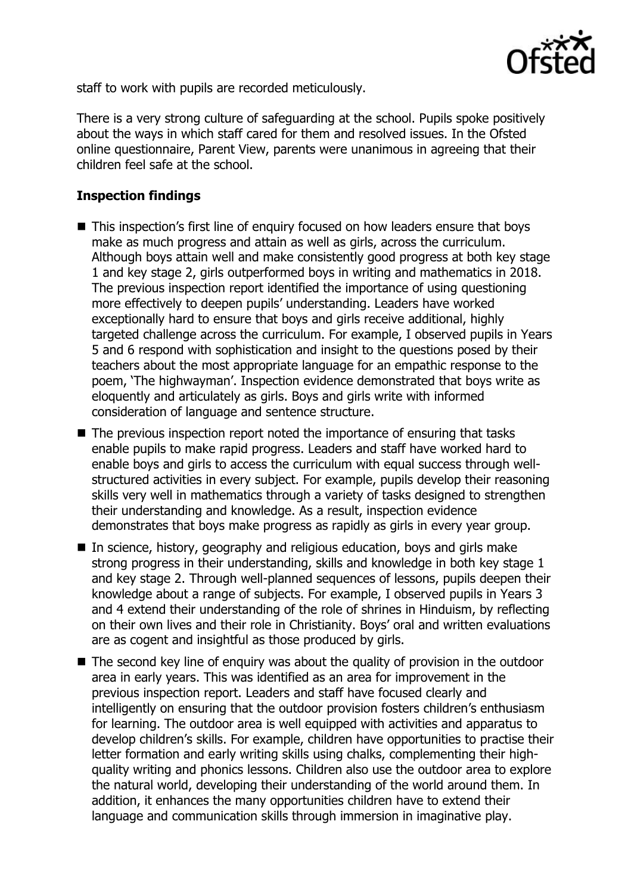

staff to work with pupils are recorded meticulously.

There is a very strong culture of safeguarding at the school. Pupils spoke positively about the ways in which staff cared for them and resolved issues. In the Ofsted online questionnaire, Parent View, parents were unanimous in agreeing that their children feel safe at the school.

# **Inspection findings**

- This inspection's first line of enquiry focused on how leaders ensure that boys make as much progress and attain as well as girls, across the curriculum. Although boys attain well and make consistently good progress at both key stage 1 and key stage 2, girls outperformed boys in writing and mathematics in 2018. The previous inspection report identified the importance of using questioning more effectively to deepen pupils' understanding. Leaders have worked exceptionally hard to ensure that boys and girls receive additional, highly targeted challenge across the curriculum. For example, I observed pupils in Years 5 and 6 respond with sophistication and insight to the questions posed by their teachers about the most appropriate language for an empathic response to the poem, 'The highwayman'. Inspection evidence demonstrated that boys write as eloquently and articulately as girls. Boys and girls write with informed consideration of language and sentence structure.
- The previous inspection report noted the importance of ensuring that tasks enable pupils to make rapid progress. Leaders and staff have worked hard to enable boys and girls to access the curriculum with equal success through wellstructured activities in every subject. For example, pupils develop their reasoning skills very well in mathematics through a variety of tasks designed to strengthen their understanding and knowledge. As a result, inspection evidence demonstrates that boys make progress as rapidly as girls in every year group.
- In science, history, geography and religious education, boys and girls make strong progress in their understanding, skills and knowledge in both key stage 1 and key stage 2. Through well-planned sequences of lessons, pupils deepen their knowledge about a range of subjects. For example, I observed pupils in Years 3 and 4 extend their understanding of the role of shrines in Hinduism, by reflecting on their own lives and their role in Christianity. Boys' oral and written evaluations are as cogent and insightful as those produced by girls.
- The second key line of enguiry was about the quality of provision in the outdoor area in early years. This was identified as an area for improvement in the previous inspection report. Leaders and staff have focused clearly and intelligently on ensuring that the outdoor provision fosters children's enthusiasm for learning. The outdoor area is well equipped with activities and apparatus to develop children's skills. For example, children have opportunities to practise their letter formation and early writing skills using chalks, complementing their highquality writing and phonics lessons. Children also use the outdoor area to explore the natural world, developing their understanding of the world around them. In addition, it enhances the many opportunities children have to extend their language and communication skills through immersion in imaginative play.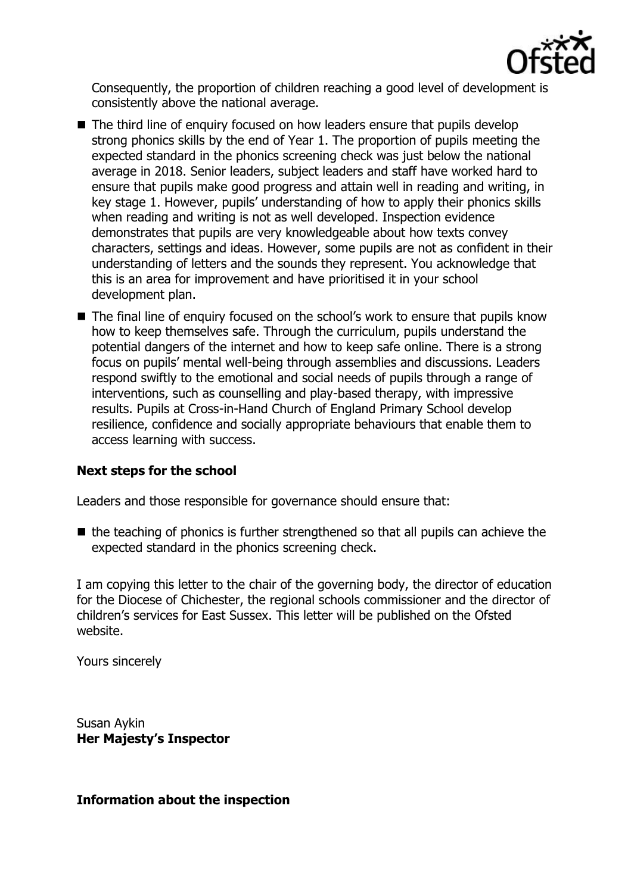

Consequently, the proportion of children reaching a good level of development is consistently above the national average.

- The third line of enquiry focused on how leaders ensure that pupils develop strong phonics skills by the end of Year 1. The proportion of pupils meeting the expected standard in the phonics screening check was just below the national average in 2018. Senior leaders, subject leaders and staff have worked hard to ensure that pupils make good progress and attain well in reading and writing, in key stage 1. However, pupils' understanding of how to apply their phonics skills when reading and writing is not as well developed. Inspection evidence demonstrates that pupils are very knowledgeable about how texts convey characters, settings and ideas. However, some pupils are not as confident in their understanding of letters and the sounds they represent. You acknowledge that this is an area for improvement and have prioritised it in your school development plan.
- The final line of enquiry focused on the school's work to ensure that pupils know how to keep themselves safe. Through the curriculum, pupils understand the potential dangers of the internet and how to keep safe online. There is a strong focus on pupils' mental well-being through assemblies and discussions. Leaders respond swiftly to the emotional and social needs of pupils through a range of interventions, such as counselling and play-based therapy, with impressive results. Pupils at Cross-in-Hand Church of England Primary School develop resilience, confidence and socially appropriate behaviours that enable them to access learning with success.

#### **Next steps for the school**

Leaders and those responsible for governance should ensure that:

 $\blacksquare$  the teaching of phonics is further strengthened so that all pupils can achieve the expected standard in the phonics screening check.

I am copying this letter to the chair of the governing body, the director of education for the Diocese of Chichester, the regional schools commissioner and the director of children's services for East Sussex. This letter will be published on the Ofsted website.

Yours sincerely

Susan Aykin **Her Majesty's Inspector**

**Information about the inspection**